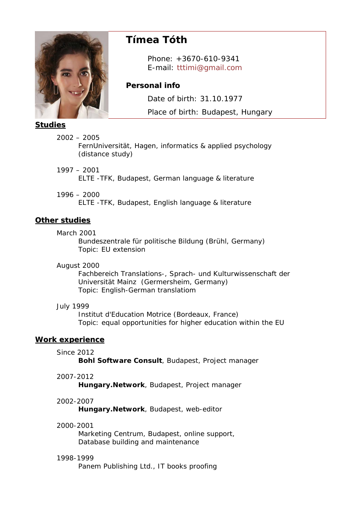

# **Tímea Tóth**

 Phone: +3670-610-9341 E-mail: tttimi@gmail.com

# **Personal info**

Date of birth: 31.10.1977

Place of birth: Budapest, Hungary

# **Studies**

2002 – 2005

FernUniversität, Hagen, informatics & applied psychology (distance study)

1997 – 2001

ELTE -TFK, Budapest, German language & literature

# 1996 – 2000

ELTE -TFK, Budapest, English language & literature

# **Other studies**

March 2001

Bundeszentrale für politische Bildung (Brühl, Germany) Topic: EU extension

August 2000

Fachbereich Translations-, Sprach- und Kulturwissenschaft der Universität Mainz (Germersheim, Germany) Topic: English-German translatiom

# July 1999

Institut d'Education Motrice (Bordeaux, France) Topic: equal opportunities for higher education within the EU

# **Work experience**

Since 2012

**Bohl Software Consult**, Budapest, Project manager

2007-2012

**Hungary.Network**, Budapest, Project manager

# 2002-2007

**Hungary.Network**, Budapest, web-editor

#### 2000-2001

Marketing Centrum, Budapest, online support, Database building and maintenance

# 1998-1999

Panem Publishing Ltd., IT books proofing